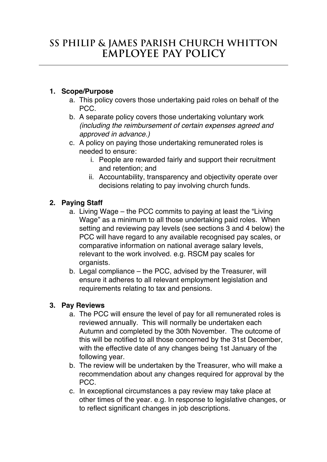## **1. Scope/Purpose**

- a. This policy covers those undertaking paid roles on behalf of the PCC.
- b. A separate policy covers those undertaking voluntary work *(including the reimbursement of certain expenses agreed and approved in advance.)*
- c. A policy on paying those undertaking remunerated roles is needed to ensure:
	- i. People are rewarded fairly and support their recruitment and retention; and
	- ii. Accountability, transparency and objectivity operate over decisions relating to pay involving church funds.

# **2. Paying Staff**

- a. Living Wage the PCC commits to paying at least the "Living Wage" as a minimum to all those undertaking paid roles. When setting and reviewing pay levels (see sections 3 and 4 below) the PCC will have regard to any available recognised pay scales, or comparative information on national average salary levels, relevant to the work involved. e.g. RSCM pay scales for organists.
- b. Legal compliance the PCC, advised by the Treasurer, will ensure it adheres to all relevant employment legislation and requirements relating to tax and pensions.

## **3. Pay Reviews**

- a. The PCC will ensure the level of pay for all remunerated roles is reviewed annually. This will normally be undertaken each Autumn and completed by the 30th November. The outcome of this will be notified to all those concerned by the 31st December, with the effective date of any changes being 1st January of the following year.
- b. The review will be undertaken by the Treasurer, who will make a recommendation about any changes required for approval by the PCC.
- c. In exceptional circumstances a pay review may take place at other times of the year. e.g. In response to legislative changes, or to reflect significant changes in job descriptions.